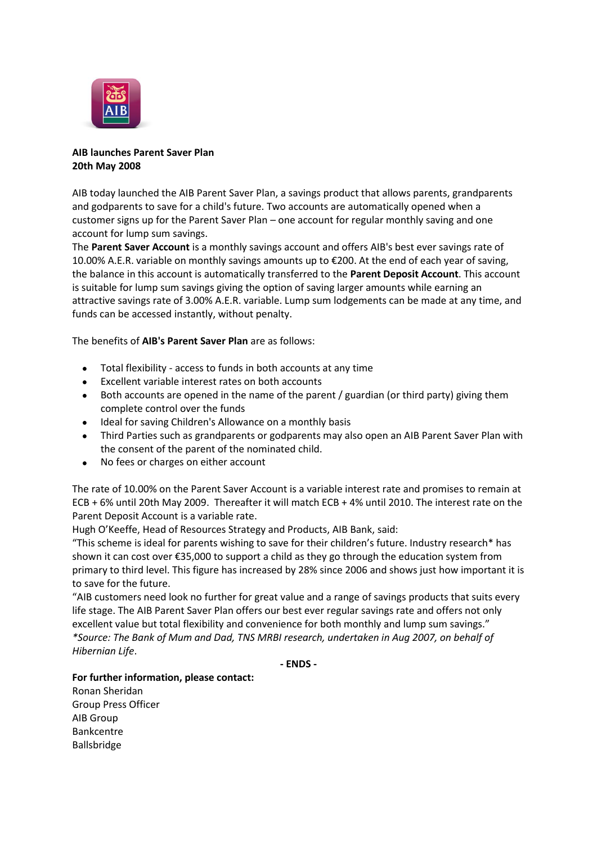

## **AIB launches Parent Saver Plan 20th May 2008**

AIB today launched the AIB Parent Saver Plan, a savings product that allows parents, grandparents and godparents to save for a child's future. Two accounts are automatically opened when a customer signs up for the Parent Saver Plan – one account for regular monthly saving and one account for lump sum savings.

The **Parent Saver Account** is a monthly savings account and offers AIB's best ever savings rate of 10.00% A.E.R. variable on monthly savings amounts up to €200. At the end of each year of saving, the balance in this account is automatically transferred to the **Parent Deposit Account**. This account is suitable for lump sum savings giving the option of saving larger amounts while earning an attractive savings rate of 3.00% A.E.R. variable. Lump sum lodgements can be made at any time, and funds can be accessed instantly, without penalty.

## The benefits of **AIB's Parent Saver Plan** are as follows:

- Total flexibility access to funds in both accounts at any time
- Excellent variable interest rates on both accounts
- Both accounts are opened in the name of the parent / guardian (or third party) giving them complete control over the funds
- Ideal for saving Children's Allowance on a monthly basis
- Third Parties such as grandparents or godparents may also open an AIB Parent Saver Plan with the consent of the parent of the nominated child.
- No fees or charges on either account  $\bullet$

The rate of 10.00% on the Parent Saver Account is a variable interest rate and promises to remain at ECB + 6% until 20th May 2009. Thereafter it will match ECB + 4% until 2010. The interest rate on the Parent Deposit Account is a variable rate.

Hugh O'Keeffe, Head of Resources Strategy and Products, AIB Bank, said:

"This scheme is ideal for parents wishing to save for their children's future. Industry research\* has shown it can cost over €35,000 to support a child as they go through the education system from primary to third level. This figure has increased by 28% since 2006 and shows just how important it is to save for the future.

"AIB customers need look no further for great value and a range of savings products that suits every life stage. The AIB Parent Saver Plan offers our best ever regular savings rate and offers not only excellent value but total flexibility and convenience for both monthly and lump sum savings." *\*Source: The Bank of Mum and Dad, TNS MRBI research, undertaken in Aug 2007, on behalf of Hibernian Life*.

**- ENDS -**

## **For further information, please contact:**

Ronan Sheridan Group Press Officer AIB Group Bankcentre Ballsbridge